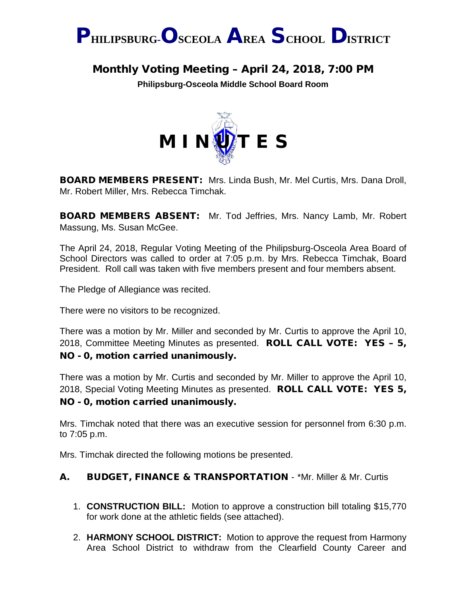

# Monthly Voting Meeting – April 24, 2018, 7:00 PM

**Philipsburg-Osceola Middle School Board Room**



BOARD MEMBERS PRESENT: Mrs. Linda Bush, Mr. Mel Curtis, Mrs. Dana Droll, Mr. Robert Miller, Mrs. Rebecca Timchak.

BOARD MEMBERS ABSENT: Mr. Tod Jeffries, Mrs. Nancy Lamb, Mr. Robert Massung, Ms. Susan McGee.

The April 24, 2018, Regular Voting Meeting of the Philipsburg-Osceola Area Board of School Directors was called to order at 7:05 p.m. by Mrs. Rebecca Timchak, Board President. Roll call was taken with five members present and four members absent.

The Pledge of Allegiance was recited.

There were no visitors to be recognized.

There was a motion by Mr. Miller and seconded by Mr. Curtis to approve the April 10, 2018, Committee Meeting Minutes as presented. ROLL CALL VOTE: YES - 5, NO - 0, motion carried unanimously.

There was a motion by Mr. Curtis and seconded by Mr. Miller to approve the April 10, 2018, Special Voting Meeting Minutes as presented. ROLL CALL VOTE: YES 5, NO - 0, motion carried unanimously.

Mrs. Timchak noted that there was an executive session for personnel from 6:30 p.m. to 7:05 p.m.

Mrs. Timchak directed the following motions be presented.

# A. BUDGET, FINANCE & TRANSPORTATION - \*Mr. Miller & Mr. Curtis

- 1. **CONSTRUCTION BILL:** Motion to approve a construction bill totaling \$15,770 for work done at the athletic fields (see attached).
- 2. **HARMONY SCHOOL DISTRICT:** Motion to approve the request from Harmony Area School District to withdraw from the Clearfield County Career and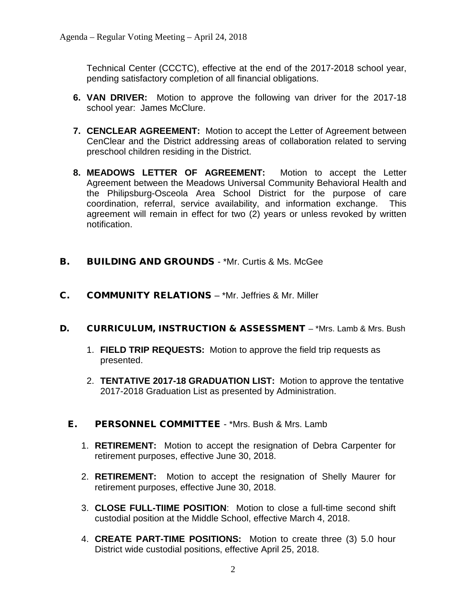Technical Center (CCCTC), effective at the end of the 2017-2018 school year, pending satisfactory completion of all financial obligations.

- **6. VAN DRIVER:** Motion to approve the following van driver for the 2017-18 school year: James McClure.
- **7. CENCLEAR AGREEMENT:** Motion to accept the Letter of Agreement between CenClear and the District addressing areas of collaboration related to serving preschool children residing in the District.
- **8. MEADOWS LETTER OF AGREEMENT:** Motion to accept the Letter Agreement between the Meadows Universal Community Behavioral Health and the Philipsburg-Osceola Area School District for the purpose of care coordination, referral, service availability, and information exchange. This agreement will remain in effect for two (2) years or unless revoked by written notification.
- **B.** BUILDING AND GROUNDS \*Mr. Curtis & Ms. McGee
- C. COMMUNITY RELATIONS \*Mr. Jeffries & Mr. Miller
- D. CURRICULUM, INSTRUCTION & ASSESSMENT \*Mrs. Lamb & Mrs. Bush
	- 1. **FIELD TRIP REQUESTS:** Motion to approve the field trip requests as presented.
	- 2. **TENTATIVE 2017-18 GRADUATION LIST:** Motion to approve the tentative 2017-2018 Graduation List as presented by Administration.
	- E. PERSONNEL COMMITTEE \*Mrs. Bush & Mrs. Lamb
		- 1. **RETIREMENT:** Motion to accept the resignation of Debra Carpenter for retirement purposes, effective June 30, 2018.
		- 2. **RETIREMENT:** Motion to accept the resignation of Shelly Maurer for retirement purposes, effective June 30, 2018.
		- 3. **CLOSE FULL-TIIME POSITION**: Motion to close a full-time second shift custodial position at the Middle School, effective March 4, 2018.
		- 4. **CREATE PART-TIME POSITIONS:** Motion to create three (3) 5.0 hour District wide custodial positions, effective April 25, 2018.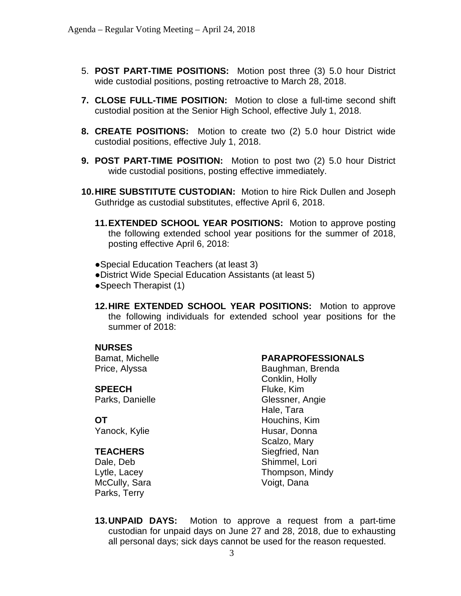- 5. **POST PART-TIME POSITIONS:** Motion post three (3) 5.0 hour District wide custodial positions, posting retroactive to March 28, 2018.
- **7. CLOSE FULL-TIME POSITION:** Motion to close a full-time second shift custodial position at the Senior High School, effective July 1, 2018.
- **8. CREATE POSITIONS:** Motion to create two (2) 5.0 hour District wide custodial positions, effective July 1, 2018.
- **9. POST PART-TIME POSITION:** Motion to post two (2) 5.0 hour District wide custodial positions, posting effective immediately.
- **10.HIRE SUBSTITUTE CUSTODIAN:** Motion to hire Rick Dullen and Joseph Guthridge as custodial substitutes, effective April 6, 2018.
	- **11.EXTENDED SCHOOL YEAR POSITIONS:** Motion to approve posting the following extended school year positions for the summer of 2018, posting effective April 6, 2018:
	- ●Special Education Teachers (at least 3)
	- ●District Wide Special Education Assistants (at least 5)
	- ●Speech Therapist (1)
	- **12.HIRE EXTENDED SCHOOL YEAR POSITIONS:** Motion to approve the following individuals for extended school year positions for the summer of 2018:

### **NURSES**

Bamat, Michelle Price, Alyssa

#### **SPEECH**

Parks, Danielle

## **OT**

Yanock, Kylie

### **TEACHERS**

Dale, Deb Lytle, Lacey McCully, Sara Parks, Terry

#### **PARAPROFESSIONALS**

Baughman, Brenda Conklin, Holly Fluke, Kim Glessner, Angie Hale, Tara Houchins, Kim Husar, Donna Scalzo, Mary Siegfried, Nan Shimmel, Lori Thompson, Mindy Voigt, Dana

**13.UNPAID DAYS:** Motion to approve a request from a part-time custodian for unpaid days on June 27 and 28, 2018, due to exhausting all personal days; sick days cannot be used for the reason requested.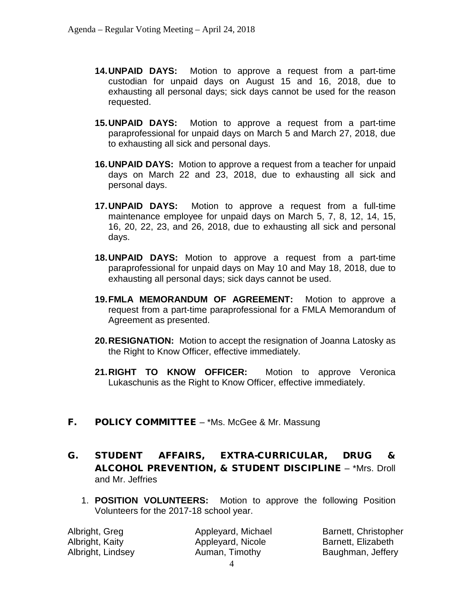- **14.UNPAID DAYS:** Motion to approve a request from a part-time custodian for unpaid days on August 15 and 16, 2018, due to exhausting all personal days; sick days cannot be used for the reason requested.
- **15.UNPAID DAYS:** Motion to approve a request from a part-time paraprofessional for unpaid days on March 5 and March 27, 2018, due to exhausting all sick and personal days.
- **16.UNPAID DAYS:** Motion to approve a request from a teacher for unpaid days on March 22 and 23, 2018, due to exhausting all sick and personal days.
- **17.UNPAID DAYS:** Motion to approve a request from a full-time maintenance employee for unpaid days on March 5, 7, 8, 12, 14, 15, 16, 20, 22, 23, and 26, 2018, due to exhausting all sick and personal days.
- **18.UNPAID DAYS:** Motion to approve a request from a part-time paraprofessional for unpaid days on May 10 and May 18, 2018, due to exhausting all personal days; sick days cannot be used.
- **19.FMLA MEMORANDUM OF AGREEMENT:** Motion to approve a request from a part-time paraprofessional for a FMLA Memorandum of Agreement as presented.
- **20.RESIGNATION:** Motion to accept the resignation of Joanna Latosky as the Right to Know Officer, effective immediately.
- **21.RIGHT TO KNOW OFFICER:** Motion to approve Veronica Lukaschunis as the Right to Know Officer, effective immediately.
- F. POLICY COMMITTEE \*Ms. McGee & Mr. Massung
- G. STUDENT AFFAIRS, EXTRA-CURRICULAR, DRUG & ALCOHOL PREVENTION, & STUDENT DISCIPLINE – \*Mrs. Droll and Mr. Jeffries
	- 1. **POSITION VOLUNTEERS:** Motion to approve the following Position Volunteers for the 2017-18 school year.

Albright, Greg Albright, Kaity Albright, Lindsey Appleyard, Michael Appleyard, Nicole Auman, Timothy

Barnett, Christopher Barnett, Elizabeth Baughman, Jeffery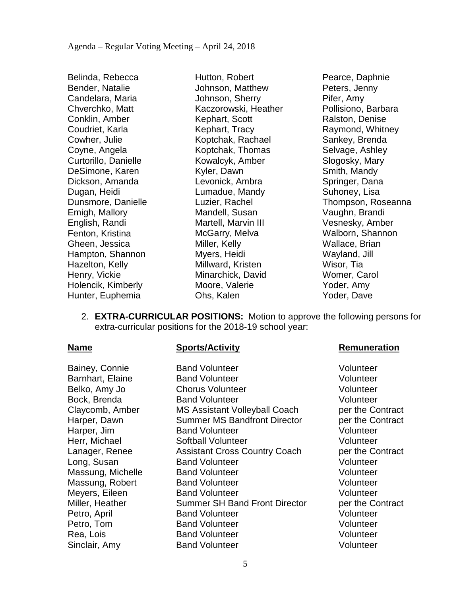Belinda, Rebecca Bender, Natalie Candelara, Maria Chverchko, Matt Conklin, Amber Coudriet, Karla Cowher, Julie Coyne, Angela Curtorillo, Danielle DeSimone, Karen Dickson, Amanda Dugan, Heidi Dunsmore, Danielle Emigh, Mallory English, Randi Fenton, Kristina Gheen, Jessica Hampton, Shannon Hazelton, Kelly Henry, Vickie Holencik, Kimberly Hunter, Euphemia

Hutton, Robert Johnson, Matthew Johnson, Sherry Kaczorowski, Heather Kephart, Scott Kephart, Tracy Koptchak, Rachael Koptchak, Thomas Kowalcyk, Amber Kyler, Dawn Levonick, Ambra Lumadue, Mandy Luzier, Rachel Mandell, Susan Martell, Marvin III McGarry, Melva Miller, Kelly Myers, Heidi Millward, Kristen Minarchick, David Moore, Valerie Ohs, Kalen

Pearce, Daphnie Peters, Jenny Pifer, Amy Pollisiono, Barbara Ralston, Denise Raymond, Whitney Sankey, Brenda Selvage, Ashley Slogosky, Mary Smith, Mandy Springer, Dana Suhoney, Lisa Thompson, Roseanna Vaughn, Brandi Vesnesky, Amber Walborn, Shannon Wallace, Brian Wayland, Jill Wisor, Tia Womer, Carol Yoder, Amy Yoder, Dave

2. **EXTRA-CURRICULAR POSITIONS:** Motion to approve the following persons for extra-curricular positions for the 2018-19 school year:

Bainey, Connie **Band Volunteer** Volunteer Volunteer

Barnhart, Elaine Band Volunteer Volunteer Belko, Amy Jo Chorus Volunteer Volunteer Bock, Brenda Band Volunteer Volunteer Claycomb, Amber MS Assistant Volleyball Coach per the Contract Harper, Dawn Summer MS Bandfront Director per the Contract Harper, Jim Band Volunteer Volunteer Volunteer Herr, Michael Softball Volunteer Volunteer Lanager, Renee Assistant Cross Country Coach per the Contract Long, Susan **Band Volunteer Constant Constant Constant Constant Constant Constant Constant Constant Constant Constant Constant Constant Constant Constant Constant Constant Constant Constant Constant Constant Constant Con** Massung, Michelle Band Volunteer Volunteer Volunteer Massung, Robert Band Volunteer Volunteer Meyers, Eileen Band Volunteer Controller volunteer Miller, Heather Summer SH Band Front Director ber the Contract Petro, April **Band Volunteer** Volunteer Volunteer Petro, Tom **Band Volunteer** Communist Colunteer Volunteer Rea, Lois **Band Volunteer Band Volunteer** Volunteer Sinclair, Amy **Band Volunteer Volunteer** Volunteer

# **Name Sports/Activity Remuneration**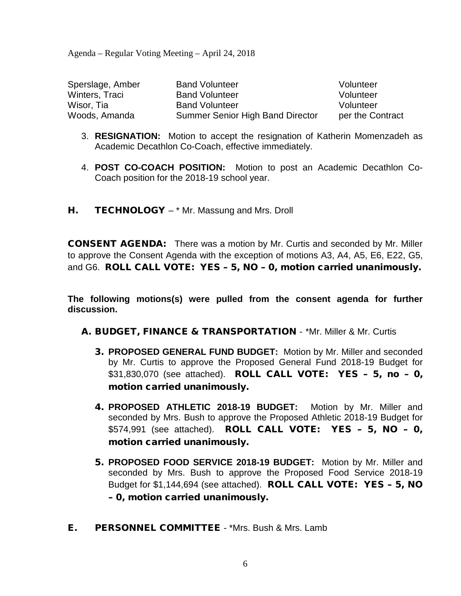Agenda – Regular Voting Meeting – April 24, 2018

| Sperslage, Amber | <b>Band Volunteer</b>                   | Volunteer        |
|------------------|-----------------------------------------|------------------|
| Winters, Traci   | <b>Band Volunteer</b>                   | Volunteer        |
| Wisor. Tia       | <b>Band Volunteer</b>                   | Volunteer        |
| Woods, Amanda    | <b>Summer Senior High Band Director</b> | per the Contract |

- 3. **RESIGNATION:** Motion to accept the resignation of Katherin Momenzadeh as Academic Decathlon Co-Coach, effective immediately.
- 4. **POST CO-COACH POSITION:** Motion to post an Academic Decathlon Co-Coach position for the 2018-19 school year.
- H. **TECHNOLOGY** \* Mr. Massung and Mrs. Droll

CONSENT AGENDA: There was a motion by Mr. Curtis and seconded by Mr. Miller to approve the Consent Agenda with the exception of motions A3, A4, A5, E6, E22, G5, and G6. ROLL CALL VOTE: YES – 5, NO – 0, motion carried unanimously.

**The following motions(s) were pulled from the consent agenda for further discussion.**

- A. BUDGET, FINANCE & TRANSPORTATION \*Mr. Miller & Mr. Curtis
	- 3. **PROPOSED GENERAL FUND BUDGET:** Motion by Mr. Miller and seconded by Mr. Curtis to approve the Proposed General Fund 2018-19 Budget for \$31,830,070 (see attached). ROLL CALL VOTE: YES – 5, no – 0, motion carried unanimously.
	- 4. **PROPOSED ATHLETIC 2018-19 BUDGET:** Motion by Mr. Miller and seconded by Mrs. Bush to approve the Proposed Athletic 2018-19 Budget for \$574,991 (see attached). ROLL CALL VOTE: YES – 5, NO – 0, motion carried unanimously.
	- 5. **PROPOSED FOOD SERVICE 2018-19 BUDGET:** Motion by Mr. Miller and seconded by Mrs. Bush to approve the Proposed Food Service 2018-19 Budget for \$1,144,694 (see attached). ROLL CALL VOTE: YES – 5, NO – 0, motion carried unanimously.
- E. PERSONNEL COMMITTEE \*Mrs. Bush & Mrs. Lamb